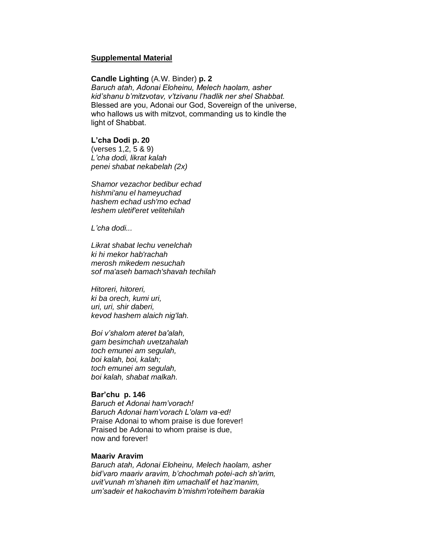## **Supplemental Material**

#### **Candle Lighting** (A.W. Binder) **p. 2**

*Baruch atah, Adonai Eloheinu, Melech haolam, asher kid'shanu b'mitzvotav, v'tzivanu l'hadlik ner shel Shabbat.* Blessed are you, Adonai our God, Sovereign of the universe, who hallows us with mitzvot, commanding us to kindle the light of Shabbat.

## **L'cha Dodi p. 20**

(verses 1,2, 5 & 9) *L'cha dodi, likrat kalah penei shabat nekabelah (2x)*

*Shamor vezachor bedibur echad hishmi'anu el hameyuchad hashem echad ush'mo echad leshem uletif'eret velitehilah*

*L'cha dodi...*

*Likrat shabat lechu venelchah ki hi mekor hab'rachah merosh mikedem nesuchah sof ma'aseh bamach'shavah techilah*

*Hitoreri, hitoreri, ki ba orech, kumi uri, uri, uri, shir daberi, kevod hashem alaich nig'lah.*

*Boi v'shalom ateret ba'alah, gam besimchah uvetzahalah toch emunei am segulah, boi kalah, boi, kalah; toch emunei am segulah, boi kalah, shabat malkah.*

# **Bar'chu p. 146**

*Baruch et Adonai ham'vorach! Baruch Adonai ham'vorach L'olam va-ed!* Praise Adonai to whom praise is due forever! Praised be Adonai to whom praise is due, now and forever!

## **Maariv Aravim**

*Baruch atah, Adonai Eloheinu, Melech haolam, asher bid'varo maariv aravim, b'chochmah potei-ach sh'arim, uvit'vunah m'shaneh itim umachalif et haz'manim, um'sadeir et hakochavim b'mishm'roteihem barakia*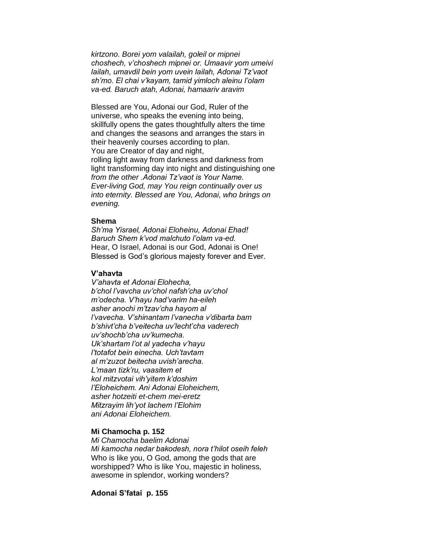*kirtzono. Borei yom valailah, goleil or mipnei choshech, v'choshech mipnei or. Umaavir yom umeivi lailah, umavdil bein yom uvein lailah, Adonai Tz'vaot sh'mo. El chai v'kayam, tamid yimloch aleinu l'olam va-ed. Baruch atah, Adonai, hamaariv aravim*

Blessed are You, Adonai our God, Ruler of the universe, who speaks the evening into being, skillfully opens the gates thoughtfully alters the time and changes the seasons and arranges the stars in their heavenly courses according to plan. You are Creator of day and night, rolling light away from darkness and darkness from light transforming day into night and distinguishing one *from the other .Adonai Tz'vaot is Your Name. Ever-living God, may You reign continually over us into eternity. Blessed are You, Adonai, who brings on evening.*

## **Shema**

*Sh'ma Yisrael, Adonai Eloheinu, Adonai Ehad! Baruch Shem k'vod malchuto l'olam va-ed.*  Hear, O Israel, Adonai is our God, Adonai is One! Blessed is God's glorious majesty forever and Ever.

#### **V'ahavta**

*V'ahavta et Adonai Elohecha, b'chol l'vavcha uv'chol nafsh'cha uv'chol m'odecha. V'hayu had'varim ha-eileh asher anochi m'tzav'cha hayom al l'vavecha. V'shinantam l'vanecha v'dibarta bam b'shivt'cha b'veitecha uv'lecht'cha vaderech uv'shochb'cha uv'kumecha. Uk'shartam l'ot al yadecha v'hayu l'totafot bein einecha. Uch'tavtam al m'zuzot beitecha uvish'arecha. L'maan tizk'ru, vaasitem et kol mitzvotai vih'yitem k'doshim l'Eloheichem. Ani Adonai Eloheichem, asher hotzeiti et-chem mei-eretz Mitzrayim lih'yot lachem l'Elohim ani Adonai Eloheichem.*

## **Mi Chamocha p. 152**

*Mi Chamocha baelim Adonai Mi kamocha nedar bakodesh, nora t'hilot oseih feleh*  Who is like you, O God, among the gods that are worshipped? Who is like You, majestic in holiness, awesome in splendor, working wonders?

## **Adonai S'fatai p. 155**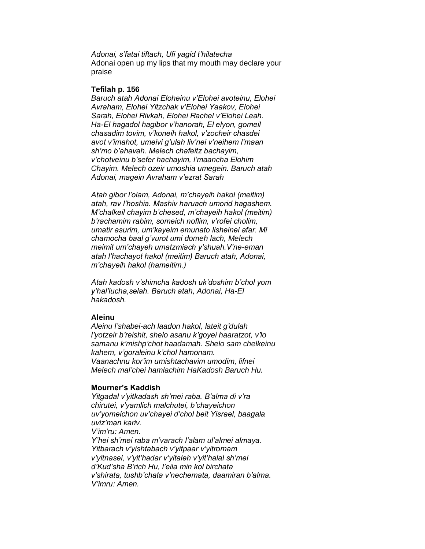*Adonai, s'fatai tiftach, Ufi yagid t'hilatecha* Adonai open up my lips that my mouth may declare your praise

#### **Tefilah p. 156**

*Baruch atah Adonai Eloheinu v'Elohei avoteinu, Elohei Avraham, Elohei Yitzchak v'Elohei Yaakov, Elohei Sarah, Elohei Rivkah, Elohei Rachel v'Elohei Leah. Ha-El hagadol hagibor v'hanorah, El elyon, gomeil chasadim tovim, v'koneih hakol, v'zocheir chasdei avot v'imahot, umeivi g'ulah liv'nei v'neihem l'maan sh'mo b'ahavah. Melech chafeitz bachayim, v'chotveinu b'sefer hachayim, l'maancha Elohim Chayim. Melech ozeir umoshia umegein. Baruch atah Adonai, magein Avraham v'ezrat Sarah*

*Atah gibor l'olam, Adonai, m'chayeih hakol (meitim) atah, rav l'hoshia. Mashiv haruach umorid hagashem. M'chalkeil chayim b'chesed, m'chayeih hakol (meitim) b'rachamim rabim, someich noflim, v'rofei cholim, umatir asurim, um'kayeim emunato lisheinei afar. Mi chamocha baal g'vurot umi domeh lach, Melech meimit um'chayeh umatzmiach y'shuah.V'ne-eman atah l'hachayot hakol (meitim) Baruch atah, Adonai, m'chayeih hakol (hameitim.)*

*Atah kadosh v'shimcha kadosh uk'doshim b'chol yom y'hal'lucha,selah. Baruch atah, Adonai, Ha-El hakadosh.*

## **Aleinu**

*Aleinu l'shabei-ach laadon hakol, lateit g'dulah l'yotzeir b'reishit, shelo asanu k'goyei haaratzot, v'lo samanu k'mishp'chot haadamah. Shelo sam chelkeinu kahem, v'goraleinu k'chol hamonam. Vaanachnu kor'im umishtachavim umodim, lifnei Melech mal'chei hamlachim HaKadosh Baruch Hu.*

#### **Mourner's Kaddish**

*Yitgadal v'yitkadash sh'mei raba. B'alma di v'ra chirutei, v'yamlich malchutei, b'chayeichon uv'yomeichon uv'chayei d'chol beit Yisrael, baagala uviz'man kariv. V'im'ru: Amen. Y'hei sh'mei raba m'varach l'alam ul'almei almaya. Yitbarach v'yishtabach v'yitpaar v'yitromam v'yitnasei, v'yit'hadar v'yitaleh v'yit'halal sh'mei d'Kud'sha B'rich Hu, l'eila min kol birchata v'shirata, tushb'chata v'nechemata, daamiran b'alma. V'imru: Amen.*